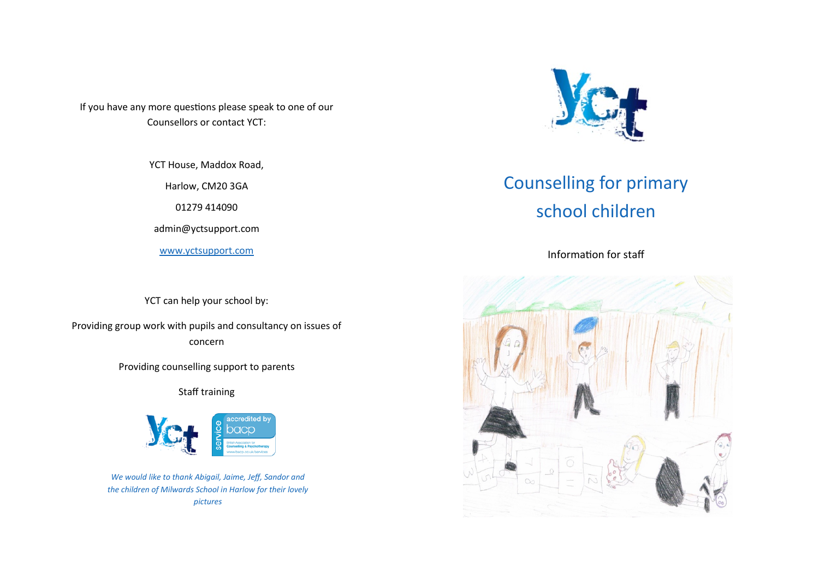If you have any more questions please speak to one of our Counsellors or contact YCT:

YCT House, Maddox Road,

Harlow, CM20 3GA

01279 414090

admin@yctsupport.com

[www.yctsupport.com](http://www.yctsupport.com)

YCT can help your school by:

Providing group work with pupils and consultancy on issues of concern

Providing counselling support to parents

Staff training



*We would like to thank Abigail, Jaime, Jeff, Sandor and the children of Milwards School in Harlow for their lovely pictures*



# Counselling for primary school children

Information for staff

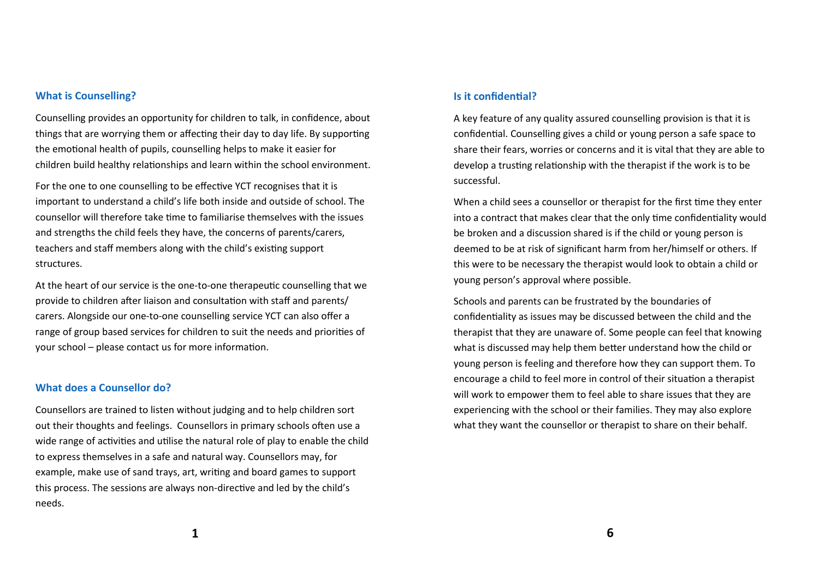## **What is Counselling?**

Counselling provides an opportunity for children to talk, in confidence, about things that are worrying them or affecting their day to day life. By supporting the emotional health of pupils, counselling helps to make it easier for children build healthy relationships and learn within the school environment.

For the one to one counselling to be effective YCT recognises that it is important to understand a child's life both inside and outside of school. The counsellor will therefore take time to familiarise themselves with the issues and strengths the child feels they have, the concerns of parents/carers, teachers and staff members along with the child's existing support structures.

At the heart of our service is the one-to-one therapeutic counselling that we provide to children after liaison and consultation with staff and parents/ carers. Alongside our one-to-one counselling service YCT can also offer a range of group based services for children to suit the needs and priorities of your school – please contact us for more information.

#### **What does a Counsellor do?**

Counsellors are trained to listen without judging and to help children sort out their thoughts and feelings. Counsellors in primary schools often use a wide range of activities and utilise the natural role of play to enable the child to express themselves in a safe and natural way. Counsellors may, for example, make use of sand trays, art, writing and board games to support this process. The sessions are always non-directive and led by the child's needs.

## **Is it confidential?**

A key feature of any quality assured counselling provision is that it is confidential. Counselling gives a child or young person a safe space to share their fears, worries or concerns and it is vital that they are able to develop a trusting relationship with the therapist if the work is to be successful.

When a child sees a counsellor or therapist for the first time they enter into a contract that makes clear that the only time confidentiality would be broken and a discussion shared is if the child or young person is deemed to be at risk of significant harm from her/himself or others. If this were to be necessary the therapist would look to obtain a child or young person's approval where possible.

Schools and parents can be frustrated by the boundaries of confidentiality as issues may be discussed between the child and the therapist that they are unaware of. Some people can feel that knowing what is discussed may help them better understand how the child or young person is feeling and therefore how they can support them. To encourage a child to feel more in control of their situation a therapist will work to empower them to feel able to share issues that they are experiencing with the school or their families. They may also explore what they want the counsellor or therapist to share on their behalf.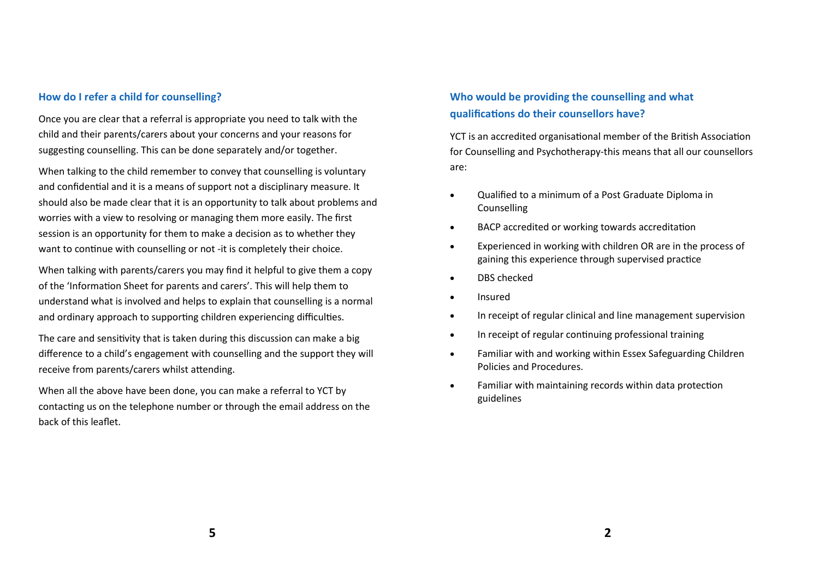# **How do I refer a child for counselling?**

Once you are clear that a referral is appropriate you need to talk with the child and their parents/carers about your concerns and your reasons for suggesting counselling. This can be done separately and/or together.

When talking to the child remember to convey that counselling is voluntary and confidential and it is a means of support not a disciplinary measure. It should also be made clear that it is an opportunity to talk about problems and worries with a view to resolving or managing them more easily. The first session is an opportunity for them to make a decision as to whether they want to continue with counselling or not -it is completely their choice.

When talking with parents/carers you may find it helpful to give them a copy of the 'Information Sheet for parents and carers'. This will help them to understand what is involved and helps to explain that counselling is a normal and ordinary approach to supporting children experiencing difficulties.

The care and sensitivity that is taken during this discussion can make a big difference to a child's engagement with counselling and the support they will receive from parents/carers whilst attending.

When all the above have been done, you can make a referral to YCT by contacting us on the telephone number or through the email address on the back of this leaflet.

# **Who would be providing the counselling and what qualifications do their counsellors have?**

YCT is an accredited organisational member of the British Association for Counselling and Psychotherapy-this means that all our counsellors are:

- Qualified to a minimum of a Post Graduate Diploma in Counselling
- BACP accredited or working towards accreditation
- Experienced in working with children OR are in the process of gaining this experience through supervised practice
- DBS checked
- Insured
- In receipt of regular clinical and line management supervision
- In receipt of regular continuing professional training
- Familiar with and working within Essex Safeguarding Children Policies and Procedures.
- Familiar with maintaining records within data protection guidelines